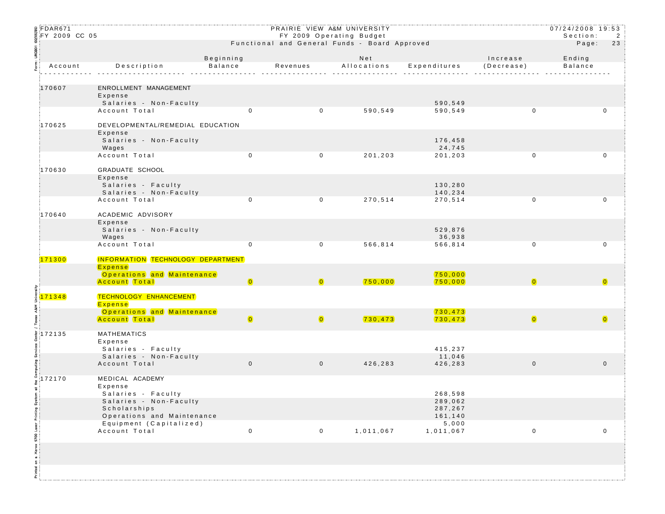| ន្ត FDAR671<br>$\frac{2}{3}$ FY 2009 CC 05 |                                                       |                                                    | PRAIRIE VIEW A&M UNIVERSITY<br>FY 2009 Operating Budget |                |             |                      |                         | 07/24/2008 19:53<br>Section:<br>2 |             |
|--------------------------------------------|-------------------------------------------------------|----------------------------------------------------|---------------------------------------------------------|----------------|-------------|----------------------|-------------------------|-----------------------------------|-------------|
|                                            |                                                       |                                                    | Functional and General Funds - Board Approved           |                |             |                      |                         | Page:                             | 23          |
|                                            |                                                       |                                                    | Beginning                                               |                | Net         |                      | Increase                | Ending                            |             |
|                                            | Account                                               | Description                                        | Balance                                                 | Revenues       | Allocations | Expenditures         | (Decrease)              | Balance                           |             |
|                                            |                                                       |                                                    |                                                         | .              |             |                      |                         |                                   |             |
|                                            | 170607                                                | ENROLLMENT MANAGEMENT                              |                                                         |                |             |                      |                         |                                   |             |
|                                            |                                                       | Expense<br>Salaries - Non-Faculty                  |                                                         |                |             | 590,549              |                         |                                   |             |
|                                            |                                                       | Account Total                                      | $\Omega$                                                | $\overline{0}$ | 590,549     | 590,549              | $\mathbf{0}$            |                                   | $\mathbf 0$ |
|                                            | 170625                                                | DEVELOPMENTAL/REMEDIAL EDUCATION                   |                                                         |                |             |                      |                         |                                   |             |
|                                            |                                                       | Expense                                            |                                                         |                |             |                      |                         |                                   |             |
|                                            |                                                       | Salaries - Non-Faculty<br>Wages                    |                                                         |                |             | 176,458<br>24,745    |                         |                                   |             |
|                                            |                                                       | Account Total                                      | $\mathbf 0$                                             | $\mathbf 0$    | 201,203     | 201,203              | 0                       |                                   | 0           |
|                                            | 170630                                                | GRADUATE SCHOOL                                    |                                                         |                |             |                      |                         |                                   |             |
|                                            |                                                       | Expense                                            |                                                         |                |             |                      |                         |                                   |             |
|                                            |                                                       | Salaries - Faculty<br>Salaries - Non-Faculty       |                                                         |                |             | 130,280<br>140,234   |                         |                                   |             |
|                                            |                                                       | Account Total                                      | $\mathbf 0$                                             | $\mathbf 0$    | 270,514     | 270,514              | $\mathbf 0$             |                                   | $\mathbf 0$ |
|                                            | 170640                                                | ACADEMIC ADVISORY                                  |                                                         |                |             |                      |                         |                                   |             |
|                                            |                                                       | Expense                                            |                                                         |                |             |                      |                         |                                   |             |
|                                            |                                                       | Salaries - Non-Faculty<br>Wages                    |                                                         |                |             | 529,876<br>36,938    |                         |                                   |             |
|                                            |                                                       | Account Total                                      | $\mathbf 0$                                             | $\mathbf 0$    | 566,814     | 566,814              | $\mathbf 0$             |                                   | 0           |
|                                            | 171300                                                | INFORMATION TECHNOLOGY DEPARTMENT                  |                                                         |                |             |                      |                         |                                   |             |
|                                            |                                                       | Expense                                            |                                                         |                |             |                      |                         |                                   |             |
|                                            |                                                       | Operations and Maintenance<br><b>Account</b> Total | $\overline{\mathbf{0}}$                                 | $\overline{0}$ | 750,000     | 750,000<br>750,000   |                         |                                   |             |
|                                            | រិះ<br>៖ <mark>171348</mark><br>៖ <mark>171348</mark> | <b>TECHNOLOGY ENHANCEMENT</b>                      |                                                         |                |             |                      |                         |                                   |             |
| A&M                                        |                                                       | Expense                                            |                                                         |                |             |                      |                         |                                   |             |
|                                            |                                                       | Operations and Maintenance<br>Account Total        | $\bullet$                                               | $\bullet$      | 730, 473    | 730, 473<br>730, 473 | $\overline{\mathbf{0}}$ |                                   | $\bullet$   |
|                                            |                                                       |                                                    |                                                         |                |             |                      |                         |                                   |             |
|                                            | $\frac{5}{7}$ 172135                                  | <b>MATHEMATICS</b><br>Expense                      |                                                         |                |             |                      |                         |                                   |             |
|                                            |                                                       | Salaries - Faculty                                 |                                                         |                |             | 415,237              |                         |                                   |             |
|                                            |                                                       | Salaries - Non-Faculty<br>Account Total            | $\mathbf 0$                                             | $\overline{0}$ | 426,283     | 11,046<br>426,283    | $\mathbf 0$             |                                   | $\mathbf 0$ |
|                                            |                                                       |                                                    |                                                         |                |             |                      |                         |                                   |             |
|                                            | $\frac{3}{9}$ 172170                                  | MEDICAL ACADEMY<br>Expense                         |                                                         |                |             |                      |                         |                                   |             |
| item<br>!                                  |                                                       | Salaries - Faculty                                 |                                                         |                |             | 268,598              |                         |                                   |             |
|                                            |                                                       | Salaries - Non-Faculty<br>Scholarships             |                                                         |                |             | 289,062<br>287,267   |                         |                                   |             |
|                                            |                                                       | Operations and Maintenance                         |                                                         |                |             | 161,140              |                         |                                   |             |
|                                            |                                                       | Equipment (Capitalized)<br>Account Total           | $\mathsf{O}\xspace$                                     | $\mathsf 0$    | 1,011,067   | $5,000$<br>1,011,067 | $\mathsf 0$             |                                   | $\mathbf 0$ |
| on a Xerox 9700 Laser Printing Sy          |                                                       |                                                    |                                                         |                |             |                      |                         |                                   |             |
|                                            |                                                       |                                                    |                                                         |                |             |                      |                         |                                   |             |
|                                            |                                                       |                                                    |                                                         |                |             |                      |                         |                                   |             |
|                                            |                                                       |                                                    |                                                         |                |             |                      |                         |                                   |             |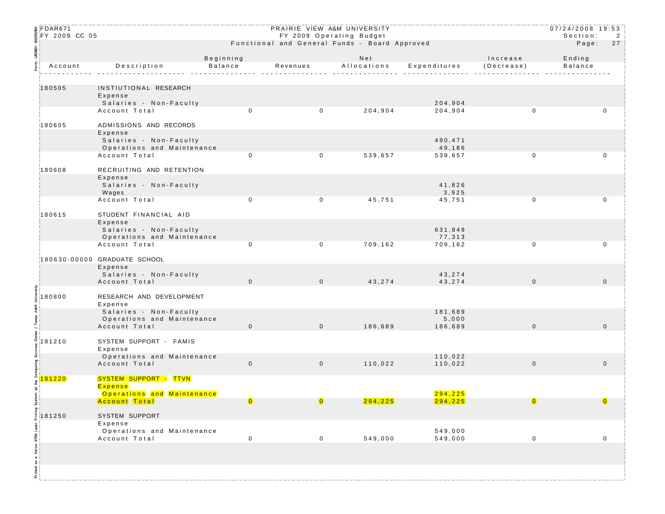| ន្ត FDAR671                  |                                                      |                                                                           |                | PRAIRIE VIEW A&M UNIVERSITY |                      |              | $07/24/2008$ 19:53<br>Section: |              |
|------------------------------|------------------------------------------------------|---------------------------------------------------------------------------|----------------|-----------------------------|----------------------|--------------|--------------------------------|--------------|
| <u>ຼ</u> ຶ FY 2009 CC 05     |                                                      | FY 2009 Operating Budget<br>Functional and General Funds - Board Approved |                |                             |                      |              |                                | 2<br>27      |
|                              |                                                      |                                                                           |                |                             |                      |              | Page:                          |              |
|                              |                                                      | Beginning                                                                 |                | Net                         |                      | Increase     | Ending                         |              |
| Account                      | Description                                          | Balance                                                                   |                | Revenues Allocations        | Expenditures         | (Decrease)   | Balance                        |              |
|                              |                                                      |                                                                           |                |                             |                      |              |                                |              |
| 180505                       | INSTIUTIONAL RESEARCH<br>Expense                     |                                                                           |                |                             |                      |              |                                |              |
|                              | Salaries - Non-Faculty                               |                                                                           |                |                             | 204,904              |              |                                |              |
|                              | Account Total                                        | $\mathbf 0$                                                               | $\mathbf 0$    | 204,904                     | 204,904              | $\mathbf 0$  |                                | 0            |
| 180605                       | ADMISSIONS AND RECORDS                               |                                                                           |                |                             |                      |              |                                |              |
|                              | Expense                                              |                                                                           |                |                             |                      |              |                                |              |
|                              | Salaries - Non-Faculty<br>Operations and Maintenance |                                                                           |                |                             | 490,471<br>49,186    |              |                                |              |
|                              | Account Total                                        | 0                                                                         | $\mathbf 0$    | 539,657                     | 539,657              | $\mathbf 0$  |                                | $\mathbf 0$  |
| 180608                       | RECRUITING AND RETENTION                             |                                                                           |                |                             |                      |              |                                |              |
|                              | Expense                                              |                                                                           |                |                             |                      |              |                                |              |
|                              | Salaries - Non-Faculty                               |                                                                           |                |                             | 41,826               |              |                                |              |
|                              | Wages<br>Account Total                               | $\mathbf{0}$                                                              | $\mathbf{0}$   | 45,751                      | 3,925<br>45,751      | $\mathbf 0$  |                                | 0            |
|                              |                                                      |                                                                           |                |                             |                      |              |                                |              |
| 180615                       | STUDENT FINANCIAL AID                                |                                                                           |                |                             |                      |              |                                |              |
|                              | Expense<br>Salaries - Non-Faculty                    |                                                                           |                |                             | 631,849              |              |                                |              |
|                              | Operations and Maintenance                           |                                                                           |                |                             | 77,313               |              |                                |              |
|                              | Account Total                                        | $\mathbf 0$                                                               | $\mathbf 0$    | 709,162                     | 709,162              | $\mathbf 0$  |                                | 0            |
|                              | 180630-00000 GRADUATE SCHOOL                         |                                                                           |                |                             |                      |              |                                |              |
|                              | Expense<br>Salaries - Non-Faculty                    |                                                                           |                |                             | 43,274               |              |                                |              |
|                              | Account Total                                        | $\mathbf 0$                                                               | $\overline{0}$ | 43,274                      | 43,274               | $\mathbf 0$  |                                | $\mathbf{0}$ |
|                              |                                                      |                                                                           |                |                             |                      |              |                                |              |
| 180800                       | RESEARCH AND DEVELOPMENT<br>Expense                  |                                                                           |                |                             |                      |              |                                |              |
| ABM                          | Salaries - Non-Faculty                               |                                                                           |                |                             | 181,689              |              |                                |              |
|                              | Operations and Maintenance<br>Account Total          | $\mathbf 0$                                                               | $\overline{0}$ | 186,689                     | 5,000<br>186,689     | $\mathbf 0$  |                                | $\mathbf{0}$ |
|                              |                                                      |                                                                           |                |                             |                      |              |                                |              |
| 181210                       | SYSTEM SUPPORT - FAMIS                               |                                                                           |                |                             |                      |              |                                |              |
|                              | Expense<br>Operations and Maintenance                |                                                                           |                |                             | 110,022              |              |                                |              |
|                              | Account Total                                        | $\mathbf 0$                                                               | $\overline{0}$ | 110,022                     | 110,022              | $\mathbf{0}$ |                                | $\mathbf 0$  |
| 81220                        | SYSTEM SUPPORT - TTVN                                |                                                                           |                |                             |                      |              |                                |              |
| ã.                           | Expense                                              |                                                                           |                |                             |                      |              |                                |              |
| E.                           | Operations and Maintenance<br>Account Total          |                                                                           |                | 294, 225                    | 294, 225<br>294, 225 |              |                                |              |
|                              |                                                      |                                                                           |                |                             |                      |              |                                |              |
| $\frac{1}{2}$ 181250         | <b>SYSTEM SUPPORT</b>                                |                                                                           |                |                             |                      |              |                                |              |
|                              | Expense<br>Operations and Maintenance                |                                                                           |                |                             | 549,000              |              |                                |              |
|                              | Account Total                                        | $\pmb{0}$                                                                 | $\mathbf 0$    | 549,000                     | 549,000              | $\mathbf 0$  |                                | 0            |
|                              |                                                      |                                                                           |                |                             |                      |              |                                |              |
| Printed on a Xerox 9700 Lase |                                                      |                                                                           |                |                             |                      |              |                                |              |
|                              |                                                      |                                                                           |                |                             |                      |              |                                |              |
|                              |                                                      |                                                                           |                |                             |                      |              |                                |              |